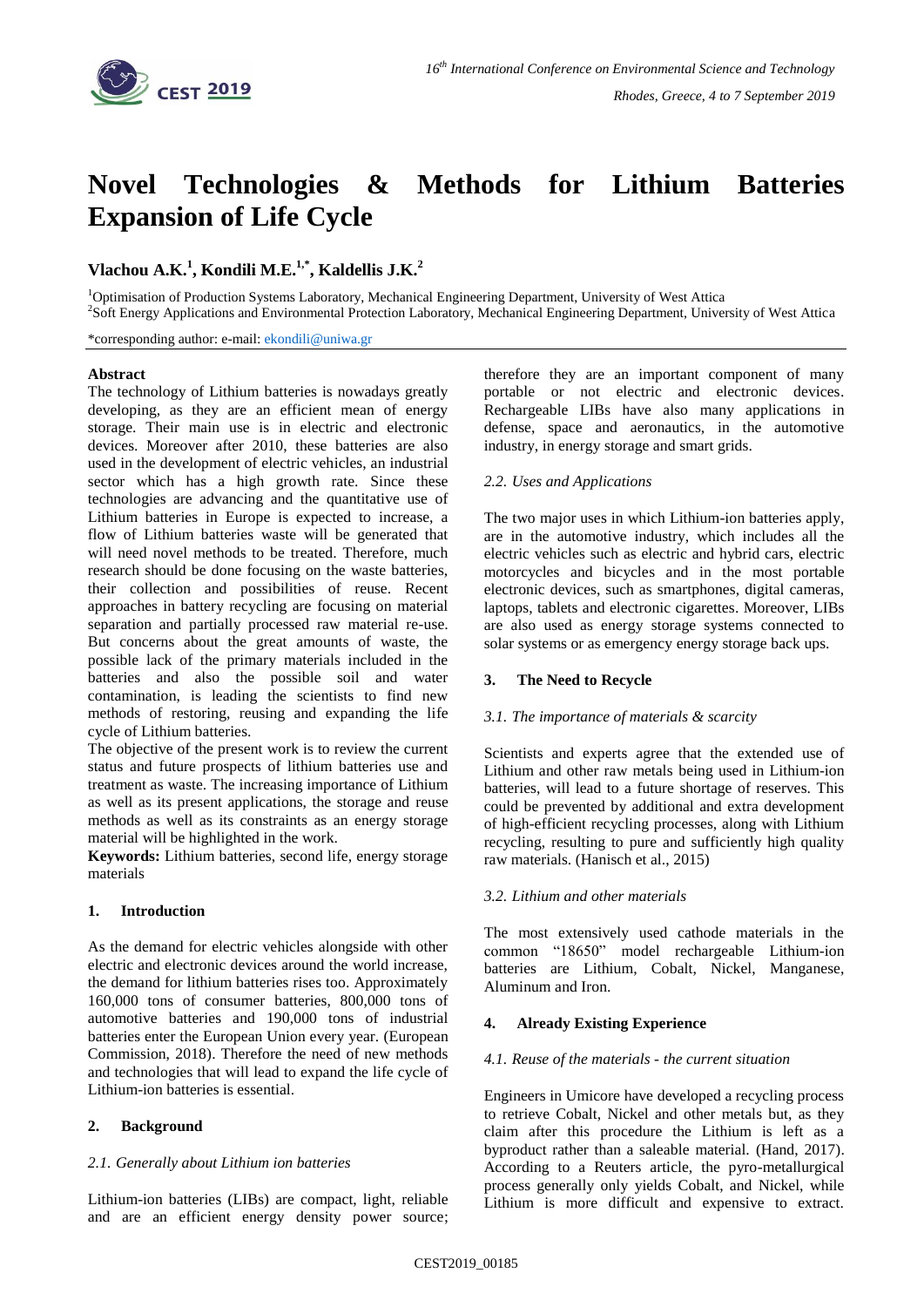

# **Novel Technologies & Methods for Lithium Batteries Expansion of Life Cycle**

# **Vlachou A.K.<sup>1</sup> , Kondili M.E.1,\* , Kaldellis J.K.<sup>2</sup>**

<sup>1</sup>Optimisation of Production Systems Laboratory, Mechanical Engineering Department, University of West Attica 2 Soft Energy Applications and Environmental Protection Laboratory, Mechanical Engineering Department, University of West Attica

\*corresponding author: e-mail: [ekondili@uniwa.gr](mailto:ekondili@uniwa.gr)

#### **Abstract**

The technology of Lithium batteries is nowadays greatly developing, as they are an efficient mean of energy storage. Their main use is in electric and electronic devices. Moreover after 2010, these batteries are also used in the development of electric vehicles, an industrial sector which has a high growth rate. Since these technologies are advancing and the quantitative use of Lithium batteries in Europe is expected to increase, a flow of Lithium batteries waste will be generated that will need novel methods to be treated. Therefore, much research should be done focusing on the waste batteries, their collection and possibilities of reuse. Recent approaches in battery recycling are focusing on material separation and partially processed raw material re-use. But concerns about the great amounts of waste, the possible lack of the primary materials included in the batteries and also the possible soil and water contamination, is leading the scientists to find new methods of restoring, reusing and expanding the life cycle of Lithium batteries.

The objective of the present work is to review the current status and future prospects of lithium batteries use and treatment as waste. The increasing importance of Lithium as well as its present applications, the storage and reuse methods as well as its constraints as an energy storage material will be highlighted in the work.

**Keywords:** Lithium batteries, second life, energy storage materials

# **1. Introduction**

As the demand for electric vehicles alongside with other electric and electronic devices around the world increase, the demand for lithium batteries rises too. Approximately 160,000 tons of consumer batteries, 800,000 tons of automotive batteries and 190,000 tons of industrial batteries enter the European Union every year. (European Commission, 2018). Therefore the need of new methods and technologies that will lead to expand the life cycle of Lithium-ion batteries is essential.

# **2. Background**

# *2.1. Generally about Lithium ion batteries*

Lithium-ion batteries (LIBs) are compact, light, reliable and are an efficient energy density power source;

therefore they are an important component of many portable or not electric and electronic devices. Rechargeable LIBs have also many applications in defense, space and aeronautics, in the automotive industry, in energy storage and smart grids.

# *2.2. Uses and Applications*

The two major uses in which Lithium-ion batteries apply, are in the automotive industry, which includes all the electric vehicles such as electric and hybrid cars, electric motorcycles and bicycles and in the most portable electronic devices, such as smartphones, digital cameras, laptops, tablets and electronic cigarettes. Moreover, LIBs are also used as energy storage systems connected to solar systems or as emergency energy storage back ups.

# **3. The Need to Recycle**

# *3.1. The importance of materials & scarcity*

Scientists and experts agree that the extended use of Lithium and other raw metals being used in Lithium-ion batteries, will lead to a future shortage of reserves. This could be prevented by additional and extra development of high-efficient recycling processes, along with Lithium recycling, resulting to pure and sufficiently high quality raw materials. (Hanisch et al., 2015)

# *3.2. Lithium and other materials*

The most extensively used cathode materials in the common "18650" model rechargeable Lithium-ion batteries are Lithium, Cobalt, Nickel, Manganese, Aluminum and Iron.

# **4. Already Existing Experience**

# *4.1. Reuse of the materials - the current situation*

Engineers in Umicore have developed a recycling process to retrieve Cobalt, Nickel and other metals but, as they claim after this procedure the Lithium is left as a byproduct rather than a saleable material. (Hand, 2017). According to a Reuters article, the pyro-metallurgical process generally only yields Cobalt, and Nickel, while Lithium is more difficult and expensive to extract.